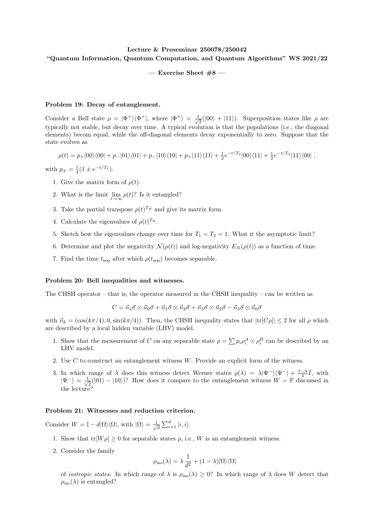## Lecture & Proseminar 250078/250042 "Quantum Information, Quantum Computation, and Quantum Algorithms" WS 2021/22

 $-$  Exercise Sheet  $#8 -$ 

## Problem 19: Decay of entanglement.

Consider a Bell state  $\rho = |\Phi^+\rangle\langle\Phi^+|$ , where  $|\Phi^+\rangle = \frac{1}{\sqrt{2}}$  $\overline{z}(00\rangle + |11\rangle)$ . Superposition states like  $\rho$  are typically not stable, but decay over time. A typical evolution is that the populations (i.e., the diagonal elements) becom equal, while the off-diagonal elements decay exponentially to zero. Suppose that the state evolves as

 $\rho(t) = p_+|00\rangle\langle 00| + p_-|01\rangle\langle 01| + p_-|10\rangle\langle 10| + p_+|11\rangle\langle 11| + \frac{1}{2}e^{-t/T_2}|00\rangle\langle 11| + \frac{1}{2}e^{-t/T_2}|11\rangle\langle 00|$ ,

with  $p_{\pm} = \frac{1}{4} (1 \pm e^{-t/T_1}).$ 

- 1. Give the matrix form of  $\rho(t)$ .
- 2. What is the limit  $\lim_{t\to\infty} \rho(t)$ ? Is it entangled?
- 3. Take the partial transpose  $\rho(t)^{T_B}$  and give its matrix form.
- 4. Calculate the eigenvalues of  $\rho(t)^{T_B}$ .
- 5. Sketch how the eigenvalues change over time for  $T_1 = T_2 = 1$ . What it the asymptotic limit?
- 6. Determine and plot the negativity  $\mathcal{N}(\rho(t))$  and log-negativity  $E_N(\rho(t))$  as a function of time.
- 7. Find the time  $t_{\text{sep}}$  after which  $\rho(t_{\text{sep}})$  becomes separable.

## Problem 20: Bell inequalities and witnesses.

The CHSH operator – that is, the operator measured in the CHSH inequality – can be written as

$$
C = \vec{n}_1 \vec{\sigma} \otimes \vec{n}_0 \vec{\sigma} + \vec{n}_1 \vec{\sigma} \otimes \vec{n}_2 \vec{\sigma} + \vec{n}_3 \vec{\sigma} \otimes \vec{n}_2 \vec{\sigma} - \vec{n}_3 \vec{\sigma} \otimes \vec{n}_0 \vec{\sigma}
$$

with  $\vec{n}_k = (\cos(k\pi/4), 0, \sin(k\pi/4))$ . Then, the CHSH inequality states that  $|\text{tr}[C_\rho]| \leq 2$  for all  $\rho$  which are described by a local hidden variable (LHV) model.

- 1. Show that the measurement of C on any separable state  $\rho = \sum p_i \rho_i^A \otimes \rho_i^B$  can be described by an LHV model.
- 2. Use  $C$  to construct an entanglement witness  $W$ . Provide an explicit form of the witness.
- 3. In which range of  $\lambda$  does this witness detect Werner states  $\rho(\lambda) = \lambda |\Psi^{-}\rangle \langle \Psi^{-}| + \frac{1-\lambda}{4}I$ , with  $|\Psi^{-}\rangle = \frac{1}{\sqrt{2}}$  $\frac{1}{2}(|01\rangle - |10\rangle)$ ? How does it compare to the entanglement witness  $W = \mathbb{F}$  discussed in the lecture?

## Problem 21: Witnesses and reduction criterion.

Consider  $W = \mathbb{I} - d|\Omega\rangle\langle\Omega|$ , with  $|\Omega\rangle = \frac{1}{\sqrt{2}}$  $\overline{\overline{d}}\sum_{i=1}^d|i,i\rangle.$ 

- 1. Show that  $tr[W \rho] \geq 0$  for separable states  $\rho$ , i.e., W is an entanglement witness.
- 2. Consider the family

$$
\rho_{\rm iso}(\lambda) = \lambda\, \frac{\mathbb{I}}{d^2} + (1-\lambda) |\Omega\rangle\langle\Omega|
$$

of *isotropic states*. In which range of  $\lambda$  is  $\rho_{\text{iso}}(\lambda) \geq 0$ ? In which range of  $\lambda$  does W detect that  $\rho_{\rm iso}(\lambda)$  is entangled?